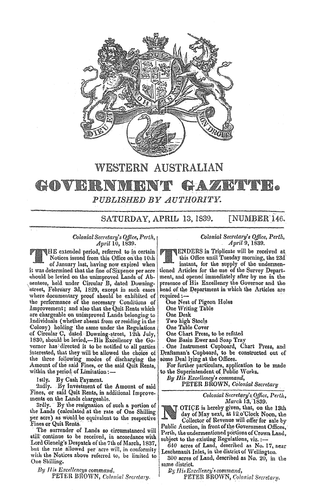

## WESTERN AUSTRALIAN GOVERNMEN **THE REAL PROPERTY** PUBLISHED BY AUTHORITY.

SATURDAY, APRIL 13, 1839. **[NUMBER 146.** 

## Colonial Secretary's Office, Perth, April 10, 1839.

HE extended period, referred to in certain Notices issued from this Office on the 10th of January last, having now expired when it was determined that the fine of Sixpence per acre should be levied on the unimproved Lands of Absentees, held under Circular B, dated Downingatreet, February 3d, 1829, except in such cases where documentary proof should be exhibited of the performance of the necessary Conditions of Improvement; and also that the Quit Rents which are chargeable on unimproved Lands belonging to Individuals (whether absent from or residing in the Colony) holding the same under the Regulations of Circular C, dated Downing-street, 12th July, 1830, should be levied,-His Excellency the Governor has directed it to be notified to all parties interested, that they will be allowed the choice of the three following modes of discharging the Amount of the said Fines, or the said Quit Rents, within the period of Limitation :-

1stly. By Cash Payment.

2ndly. By Investment of the Amount of said Fines, or said Quit Rents, in additional Improvements on the Lands chargeable.

3rdly. By the resignation of such a portion of the Lands (calculated at the rate of One Shilling per acre) as would be equivalent to the respective Fines or Quit Rents.

The surrender of Lands so circumstanced will atill continue to be received, in accordance with Lord Glenelg's Despatch of the 7th of March, 1837, but the rate allowed per acre will, in conformity with the Notices above referred to, be limited to One Shilling.

By His Excellencys command. PETER BROWN, Colonial Secretary. Colonial Secretary's Office, Perth, April 9, 1839.

**ENDERS** in Triplicate will be received at

this Office until Tuesday morning, the 23d instant, for the supply of the undermentioned Articles for the use of the Survey Department, and opened immediately after by me in the presence of His Excellency the Governor and the head of the Department in which the Articles are required:

One Nest of Pigeon Holes

One Writing Table

One Desk

Two high Stools

One Table Cover

One Chart Press, to be refitted

One Basin Ewer and Soap Tray

One Instrument Cupboard, Chart Press, and Draftsman's Cupboard, to be constructed out of some Deal lying at the Offices.

For further particulars, application to be made to the Superintendent of Public Works.

Bu His Excellency's command,

PETER BROWN, Colonial Secretary

Colonial Secretary's Office, Perth, March 13, 1839.

OTICE is hereby given, that, on the 13th day of May next, at 12 o'Clock Noon, the Collector of Revenue will offer for sale by Public Auction, in front of the Government Offices.

Perth, the undermentioned portions of Crown Land. subject to the existing Regulations, viz. :-

640 acres of Land, described as No. 17, near Leschenault Inlet, in the district of Wellington.

300 acres of Land, described as No.  $20$ , in the same district.

By His Excellency's command,

PETER BROWN, Colonial Secretary.